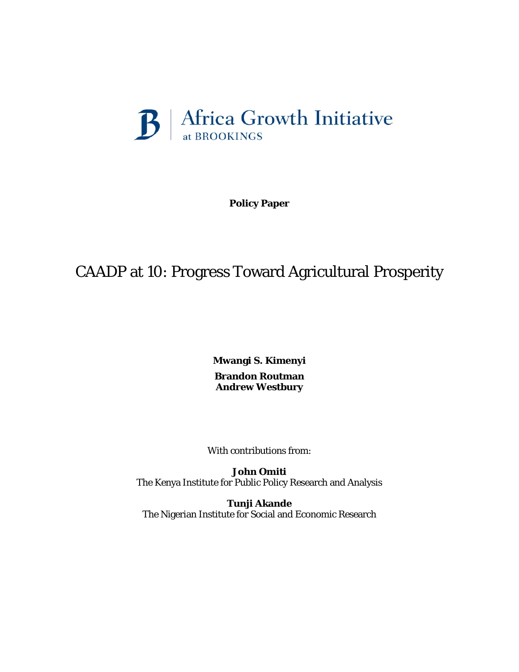

**Policy Paper** 

# CAADP at 10: Progress Toward Agricultural Prosperity

**Mwangi S. Kimenyi Brandon Routman Andrew Westbury**

With contributions from:

**John Omiti** The Kenya Institute for Public Policy Research and Analysis

**Tunji Akande** The Nigerian Institute for Social and Economic Research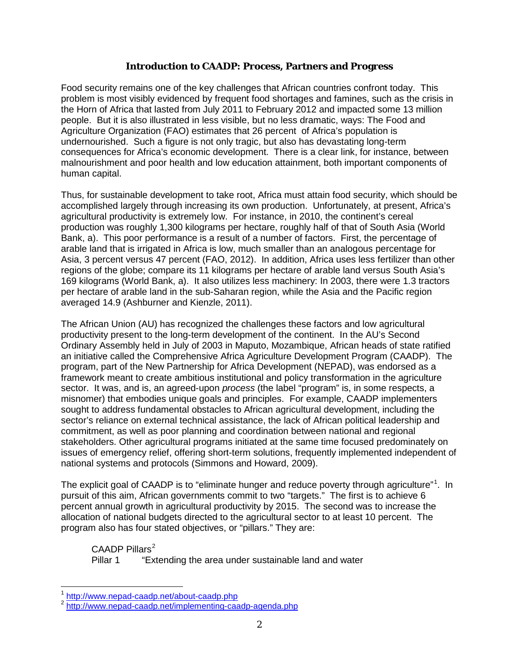# **Introduction to CAADP: Process, Partners and Progress**

Food security remains one of the key challenges that African countries confront today. This problem is most visibly evidenced by frequent food shortages and famines, such as the crisis in the Horn of Africa that lasted from July 2011 to February 2012 and impacted some 13 million people. But it is also illustrated in less visible, but no less dramatic, ways: The Food and Agriculture Organization (FAO) estimates that 26 percent of Africa's population is undernourished. Such a figure is not only tragic, but also has devastating long-term consequences for Africa's economic development. There is a clear link, for instance, between malnourishment and poor health and low education attainment, both important components of human capital.

Thus, for sustainable development to take root, Africa must attain food security, which should be accomplished largely through increasing its own production. Unfortunately, at present, Africa's agricultural productivity is extremely low. For instance, in 2010, the continent's cereal production was roughly 1,300 kilograms per hectare, roughly half of that of South Asia (World Bank, a). This poor performance is a result of a number of factors. First, the percentage of arable land that is irrigated in Africa is low, much smaller than an analogous percentage for Asia, 3 percent versus 47 percent (FAO, 2012). In addition, Africa uses less fertilizer than other regions of the globe; compare its 11 kilograms per hectare of arable land versus South Asia's 169 kilograms (World Bank, a). It also utilizes less machinery: In 2003, there were 1.3 tractors per hectare of arable land in the sub-Saharan region, while the Asia and the Pacific region averaged 14.9 (Ashburner and Kienzle, 2011).

The African Union (AU) has recognized the challenges these factors and low agricultural productivity present to the long-term development of the continent. In the AU's Second Ordinary Assembly held in July of 2003 in Maputo, Mozambique, African heads of state ratified an initiative called the Comprehensive Africa Agriculture Development Program (CAADP). The program, part of the New Partnership for Africa Development (NEPAD), was endorsed as a framework meant to create ambitious institutional and policy transformation in the agriculture sector. It was, and is, an agreed-upon *process* (the label "program" is, in some respects, a misnomer) that embodies unique goals and principles. For example, CAADP implementers sought to address fundamental obstacles to African agricultural development, including the sector's reliance on external technical assistance, the lack of African political leadership and commitment, as well as poor planning and coordination between national and regional stakeholders. Other agricultural programs initiated at the same time focused predominately on issues of emergency relief, offering short-term solutions, frequently implemented independent of national systems and protocols (Simmons and Howard, 2009).

The explicit goal of CAADP is to "eliminate hunger and reduce poverty through agriculture"<sup>[1](#page-1-0)</sup>. In pursuit of this aim, African governments commit to two "targets." The first is to achieve 6 percent annual growth in agricultural productivity by 2015. The second was to increase the allocation of national budgets directed to the agricultural sector to at least 10 percent. The program also has four stated objectives, or "pillars." They are:

 $C$ AADP Pillars<sup>[2](#page-1-1)</sup>

Pillar 1 "Extending the area under sustainable land and water

<span id="page-1-0"></span><sup>&</sup>lt;sup>1</sup> http://www.nepad-caadp.net/about-caadp.php

<span id="page-1-1"></span><sup>2</sup> <http://www.nepad-caadp.net/implementing-caadp-agenda.php>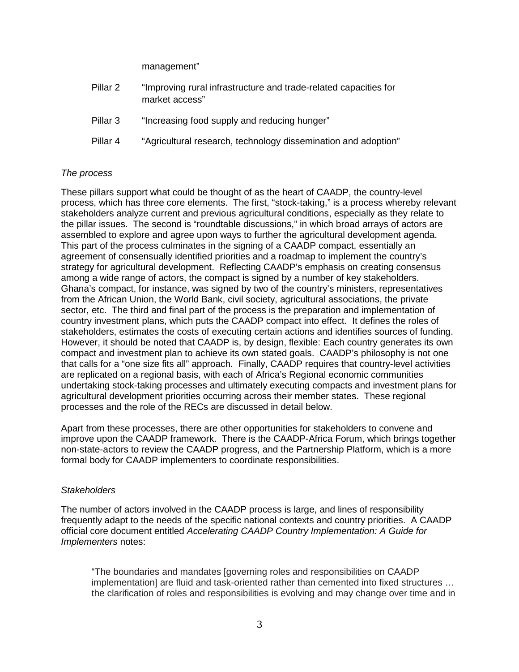management"

| Pillar 2 | "Improving rural infrastructure and trade-related capacities for<br>market access" |
|----------|------------------------------------------------------------------------------------|
| Pillar 3 | "Increasing food supply and reducing hunger"                                       |
| Pillar 4 | "Agricultural research, technology dissemination and adoption"                     |

# *The process*

These pillars support what could be thought of as the heart of CAADP, the country-level process, which has three core elements. The first, "stock-taking," is a process whereby relevant stakeholders analyze current and previous agricultural conditions, especially as they relate to the pillar issues. The second is "roundtable discussions," in which broad arrays of actors are assembled to explore and agree upon ways to further the agricultural development agenda. This part of the process culminates in the signing of a CAADP compact, essentially an agreement of consensually identified priorities and a roadmap to implement the country's strategy for agricultural development. Reflecting CAADP's emphasis on creating consensus among a wide range of actors, the compact is signed by a number of key stakeholders. Ghana's compact, for instance, was signed by two of the country's ministers, representatives from the African Union, the World Bank, civil society, agricultural associations, the private sector, etc. The third and final part of the process is the preparation and implementation of country investment plans, which puts the CAADP compact into effect. It defines the roles of stakeholders, estimates the costs of executing certain actions and identifies sources of funding. However, it should be noted that CAADP is, by design, flexible: Each country generates its own compact and investment plan to achieve its own stated goals. CAADP's philosophy is not one that calls for a "one size fits all" approach. Finally, CAADP requires that country-level activities are replicated on a regional basis, with each of Africa's Regional economic communities undertaking stock-taking processes and ultimately executing compacts and investment plans for agricultural development priorities occurring across their member states. These regional processes and the role of the RECs are discussed in detail below.

Apart from these processes, there are other opportunities for stakeholders to convene and improve upon the CAADP framework. There is the CAADP-Africa Forum, which brings together non-state-actors to review the CAADP progress, and the Partnership Platform, which is a more formal body for CAADP implementers to coordinate responsibilities.

# *Stakeholders*

The number of actors involved in the CAADP process is large, and lines of responsibility frequently adapt to the needs of the specific national contexts and country priorities. A CAADP official core document entitled *Accelerating CAADP Country Implementation: A Guide for Implementers* notes:

"The boundaries and mandates [governing roles and responsibilities on CAADP implementation] are fluid and task-oriented rather than cemented into fixed structures … the clarification of roles and responsibilities is evolving and may change over time and in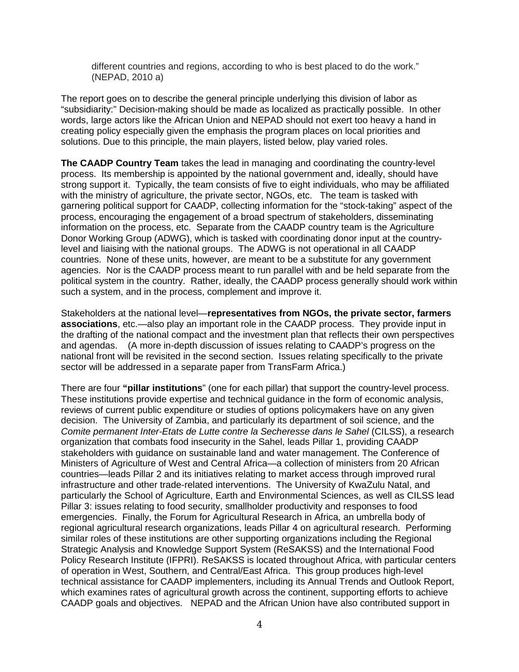different countries and regions, according to who is best placed to do the work." (NEPAD, 2010 a)

The report goes on to describe the general principle underlying this division of labor as "subsidiarity:" Decision-making should be made as localized as practically possible. In other words, large actors like the African Union and NEPAD should not exert too heavy a hand in creating policy especially given the emphasis the program places on local priorities and solutions. Due to this principle, the main players, listed below, play varied roles.

**The CAADP Country Team** takes the lead in managing and coordinating the country-level process. Its membership is appointed by the national government and, ideally, should have strong support it. Typically, the team consists of five to eight individuals, who may be affiliated with the ministry of agriculture, the private sector, NGOs, etc. The team is tasked with garnering political support for CAADP, collecting information for the "stock-taking" aspect of the process, encouraging the engagement of a broad spectrum of stakeholders, disseminating information on the process, etc. Separate from the CAADP country team is the Agriculture Donor Working Group (ADWG), which is tasked with coordinating donor input at the countrylevel and liaising with the national groups. The ADWG is not operational in all CAADP countries. None of these units, however, are meant to be a substitute for any government agencies. Nor is the CAADP process meant to run parallel with and be held separate from the political system in the country. Rather, ideally, the CAADP process generally should work within such a system, and in the process, complement and improve it.

Stakeholders at the national level—**representatives from NGOs, the private sector, farmers associations**, etc.—also play an important role in the CAADP process. They provide input in the drafting of the national compact and the investment plan that reflects their own perspectives and agendas. (A more in-depth discussion of issues relating to CAADP's progress on the national front will be revisited in the second section. Issues relating specifically to the private sector will be addressed in a separate paper from TransFarm Africa.)

There are four **"pillar institutions**" (one for each pillar) that support the country-level process. These institutions provide expertise and technical guidance in the form of economic analysis, reviews of current public expenditure or studies of options policymakers have on any given decision. The University of Zambia, and particularly its department of soil science, and the *Comite permanent Inter-Etats de Lutte contre la Secheresse dans le Sahel* (CILSS), a research organization that combats food insecurity in the Sahel, leads Pillar 1, providing CAADP stakeholders with guidance on sustainable land and water management. The Conference of Ministers of Agriculture of West and Central Africa—a collection of ministers from 20 African countries—leads Pillar 2 and its initiatives relating to market access through improved rural infrastructure and other trade-related interventions. The University of KwaZulu Natal, and particularly the School of Agriculture, Earth and Environmental Sciences, as well as CILSS lead Pillar 3: issues relating to food security, smallholder productivity and responses to food emergencies. Finally, the Forum for Agricultural Research in Africa, an umbrella body of regional agricultural research organizations, leads Pillar 4 on agricultural research. Performing similar roles of these institutions are other supporting organizations including the Regional Strategic Analysis and Knowledge Support System (ReSAKSS) and the International Food Policy Research Institute (IFPRI). ReSAKSS is located throughout Africa, with particular centers of operation in West, Southern, and Central/East Africa. This group produces high-level technical assistance for CAADP implementers, including its Annual Trends and Outlook Report, which examines rates of agricultural growth across the continent, supporting efforts to achieve CAADP goals and objectives. NEPAD and the African Union have also contributed support in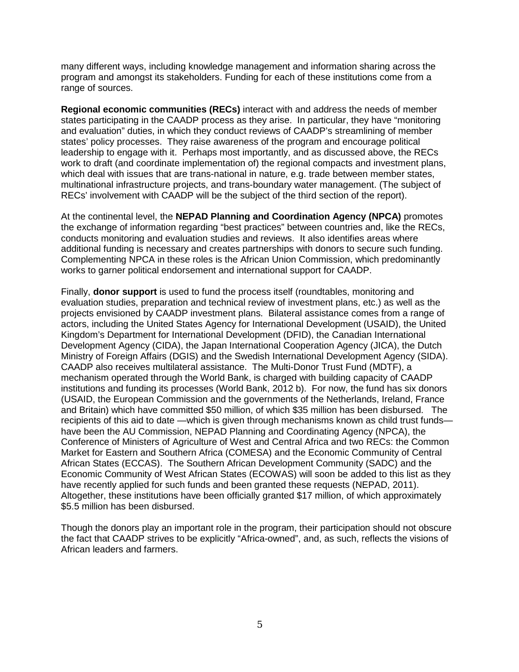many different ways, including knowledge management and information sharing across the program and amongst its stakeholders. Funding for each of these institutions come from a range of sources.

**Regional economic communities (RECs)** interact with and address the needs of member states participating in the CAADP process as they arise. In particular, they have "monitoring and evaluation" duties, in which they conduct reviews of CAADP's streamlining of member states' policy processes. They raise awareness of the program and encourage political leadership to engage with it. Perhaps most importantly, and as discussed above, the RECs work to draft (and coordinate implementation of) the regional compacts and investment plans, which deal with issues that are trans-national in nature, e.g. trade between member states, multinational infrastructure projects, and trans-boundary water management. (The subject of RECs' involvement with CAADP will be the subject of the third section of the report).

At the continental level, the **NEPAD Planning and Coordination Agency (NPCA)** promotes the exchange of information regarding "best practices" between countries and, like the RECs, conducts monitoring and evaluation studies and reviews. It also identifies areas where additional funding is necessary and creates partnerships with donors to secure such funding. Complementing NPCA in these roles is the African Union Commission, which predominantly works to garner political endorsement and international support for CAADP.

Finally, **donor support** is used to fund the process itself (roundtables, monitoring and evaluation studies, preparation and technical review of investment plans, etc.) as well as the projects envisioned by CAADP investment plans. Bilateral assistance comes from a range of actors, including the United States Agency for International Development (USAID), the United Kingdom's Department for International Development (DFID), the Canadian International Development Agency (CIDA), the Japan International Cooperation Agency (JICA), the Dutch Ministry of Foreign Affairs (DGIS) and the Swedish International Development Agency (SIDA). CAADP also receives multilateral assistance. The Multi-Donor Trust Fund (MDTF), a mechanism operated through the World Bank, is charged with building capacity of CAADP institutions and funding its processes (World Bank, 2012 b). For now, the fund has six donors (USAID, the European Commission and the governments of the Netherlands, Ireland, France and Britain) which have committed \$50 million, of which \$35 million has been disbursed. The recipients of this aid to date —which is given through mechanisms known as child trust funds have been the AU Commission, NEPAD Planning and Coordinating Agency (NPCA), the Conference of Ministers of Agriculture of West and Central Africa and two RECs: the Common Market for Eastern and Southern Africa (COMESA) and the Economic Community of Central African States (ECCAS). The Southern African Development Community (SADC) and the Economic Community of West African States (ECOWAS) will soon be added to this list as they have recently applied for such funds and been granted these requests (NEPAD, 2011). Altogether, these institutions have been officially granted \$17 million, of which approximately \$5.5 million has been disbursed.

Though the donors play an important role in the program, their participation should not obscure the fact that CAADP strives to be explicitly "Africa-owned", and, as such, reflects the visions of African leaders and farmers.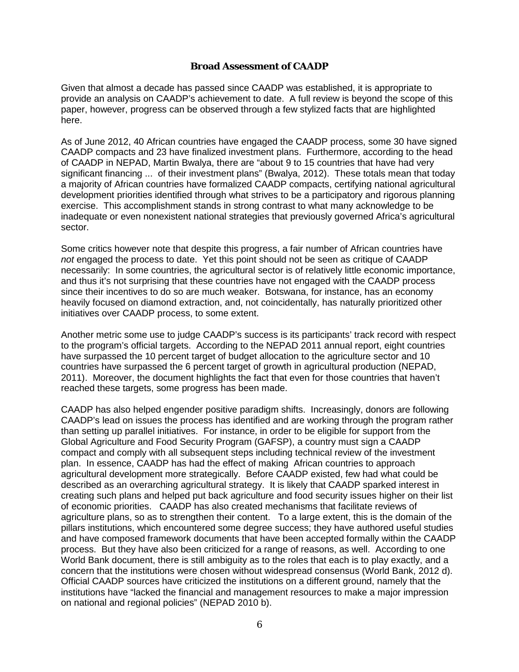## **Broad Assessment of CAADP**

Given that almost a decade has passed since CAADP was established, it is appropriate to provide an analysis on CAADP's achievement to date. A full review is beyond the scope of this paper, however, progress can be observed through a few stylized facts that are highlighted here.

As of June 2012, 40 African countries have engaged the CAADP process, some 30 have signed CAADP compacts and 23 have finalized investment plans. Furthermore, according to the head of CAADP in NEPAD, Martin Bwalya, there are "about 9 to 15 countries that have had very significant financing ... of their investment plans" (Bwalya, 2012). These totals mean that today a majority of African countries have formalized CAADP compacts, certifying national agricultural development priorities identified through what strives to be a participatory and rigorous planning exercise. This accomplishment stands in strong contrast to what many acknowledge to be inadequate or even nonexistent national strategies that previously governed Africa's agricultural sector.

Some critics however note that despite this progress, a fair number of African countries have *not* engaged the process to date. Yet this point should not be seen as critique of CAADP necessarily: In some countries, the agricultural sector is of relatively little economic importance, and thus it's not surprising that these countries have not engaged with the CAADP process since their incentives to do so are much weaker. Botswana, for instance, has an economy heavily focused on diamond extraction, and, not coincidentally, has naturally prioritized other initiatives over CAADP process, to some extent.

Another metric some use to judge CAADP's success is its participants' track record with respect to the program's official targets. According to the NEPAD 2011 annual report, eight countries have surpassed the 10 percent target of budget allocation to the agriculture sector and 10 countries have surpassed the 6 percent target of growth in agricultural production (NEPAD, 2011). Moreover, the document highlights the fact that even for those countries that haven't reached these targets, some progress has been made.

CAADP has also helped engender positive paradigm shifts. Increasingly, donors are following CAADP's lead on issues the process has identified and are working through the program rather than setting up parallel initiatives. For instance, in order to be eligible for support from the Global Agriculture and Food Security Program (GAFSP), a country must sign a CAADP compact and comply with all subsequent steps including technical review of the investment plan. In essence, CAADP has had the effect of making African countries to approach agricultural development more strategically. Before CAADP existed, few had what could be described as an overarching agricultural strategy. It is likely that CAADP sparked interest in creating such plans and helped put back agriculture and food security issues higher on their list of economic priorities. CAADP has also created mechanisms that facilitate reviews of agriculture plans, so as to strengthen their content. To a large extent, this is the domain of the pillars institutions, which encountered some degree success; they have authored useful studies and have composed framework documents that have been accepted formally within the CAADP process. But they have also been criticized for a range of reasons, as well. According to one World Bank document, there is still ambiguity as to the roles that each is to play exactly, and a concern that the institutions were chosen without widespread consensus (World Bank, 2012 d). Official CAADP sources have criticized the institutions on a different ground, namely that the institutions have "lacked the financial and management resources to make a major impression on national and regional policies" (NEPAD 2010 b).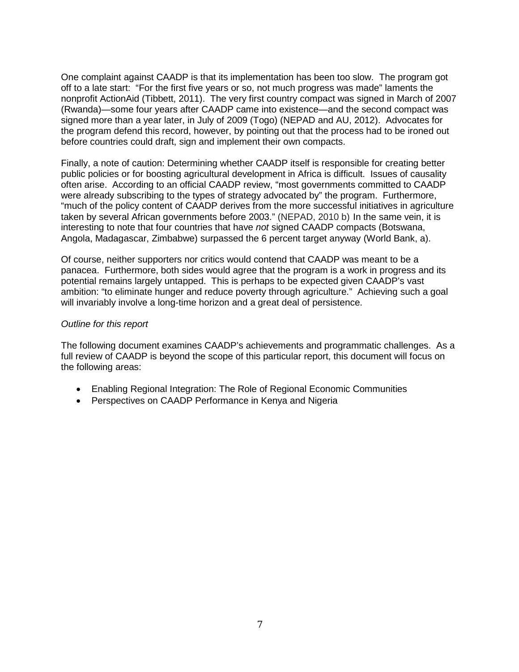One complaint against CAADP is that its implementation has been too slow. The program got off to a late start: "For the first five years or so, not much progress was made" laments the nonprofit ActionAid (Tibbett, 2011). The very first country compact was signed in March of 2007 (Rwanda)—some four years after CAADP came into existence—and the second compact was signed more than a year later, in July of 2009 (Togo) (NEPAD and AU, 2012). Advocates for the program defend this record, however, by pointing out that the process had to be ironed out before countries could draft, sign and implement their own compacts.

Finally, a note of caution: Determining whether CAADP itself is responsible for creating better public policies or for boosting agricultural development in Africa is difficult. Issues of causality often arise. According to an official CAADP review, "most governments committed to CAADP were already subscribing to the types of strategy advocated by" the program. Furthermore, "much of the policy content of CAADP derives from the more successful initiatives in agriculture taken by several African governments before 2003." (NEPAD, 2010 b) In the same vein, it is interesting to note that four countries that have *not* signed CAADP compacts (Botswana, Angola, Madagascar, Zimbabwe) surpassed the 6 percent target anyway (World Bank, a).

Of course, neither supporters nor critics would contend that CAADP was meant to be a panacea. Furthermore, both sides would agree that the program is a work in progress and its potential remains largely untapped. This is perhaps to be expected given CAADP's vast ambition: "to eliminate hunger and reduce poverty through agriculture." Achieving such a goal will invariably involve a long-time horizon and a great deal of persistence.

## *Outline for this report*

The following document examines CAADP's achievements and programmatic challenges. As a full review of CAADP is beyond the scope of this particular report, this document will focus on the following areas:

- Enabling Regional Integration: The Role of Regional Economic Communities
- Perspectives on CAADP Performance in Kenya and Nigeria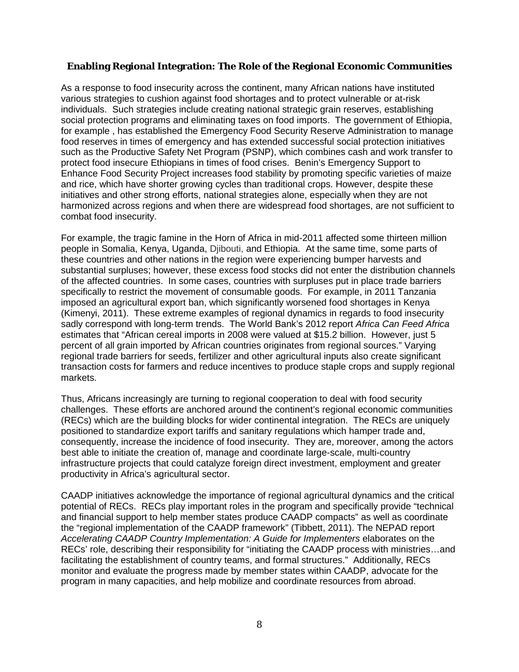# **Enabling Regional Integration: The Role of the Regional Economic Communities**

As a response to food insecurity across the continent, many African nations have instituted various strategies to cushion against food shortages and to protect vulnerable or at-risk individuals. Such strategies include creating national strategic grain reserves, establishing social protection programs and eliminating taxes on food imports. The government of Ethiopia, for example , has established the Emergency Food Security Reserve Administration to manage food reserves in times of emergency and has extended successful social protection initiatives such as the Productive Safety Net Program (PSNP), which combines cash and work transfer to protect food insecure Ethiopians in times of food crises. Benin's Emergency Support to Enhance Food Security Project increases food stability by promoting specific varieties of maize and rice, which have shorter growing cycles than traditional crops. However, despite these initiatives and other strong efforts, national strategies alone, especially when they are not harmonized across regions and when there are widespread food shortages, are not sufficient to combat food insecurity.

For example, the tragic famine in the Horn of Africa in mid-2011 affected some thirteen million people in Somalia, Kenya, Uganda, Djibouti, and Ethiopia. At the same time, some parts of these countries and other nations in the region were experiencing bumper harvests and substantial surpluses; however, these excess food stocks did not enter the distribution channels of the affected countries. In some cases, countries with surpluses put in place trade barriers specifically to restrict the movement of consumable goods. For example, in 2011 Tanzania imposed an agricultural export ban, which significantly worsened food shortages in Kenya (Kimenyi, 2011). These extreme examples of regional dynamics in regards to food insecurity sadly correspond with long-term trends. The World Bank's 2012 report *Africa Can Feed Africa* estimates that "African cereal imports in 2008 were valued at \$15.2 billion. However, just 5 percent of all grain imported by African countries originates from regional sources." Varying regional trade barriers for seeds, fertilizer and other agricultural inputs also create significant transaction costs for farmers and reduce incentives to produce staple crops and supply regional markets.

Thus, Africans increasingly are turning to regional cooperation to deal with food security challenges. These efforts are anchored around the continent's regional economic communities (RECs) which are the building blocks for wider continental integration. The RECs are uniquely positioned to standardize export tariffs and sanitary regulations which hamper trade and, consequently, increase the incidence of food insecurity. They are, moreover, among the actors best able to initiate the creation of, manage and coordinate large-scale, multi-country infrastructure projects that could catalyze foreign direct investment, employment and greater productivity in Africa's agricultural sector.

CAADP initiatives acknowledge the importance of regional agricultural dynamics and the critical potential of RECs. RECs play important roles in the program and specifically provide "technical and financial support to help member states produce CAADP compacts" as well as coordinate the "regional implementation of the CAADP framework" (Tibbett, 2011). The NEPAD report *Accelerating CAADP Country Implementation: A Guide for Implementers* elaborates on the RECs' role, describing their responsibility for "initiating the CAADP process with ministries…and facilitating the establishment of country teams, and formal structures." Additionally, RECs monitor and evaluate the progress made by member states within CAADP, advocate for the program in many capacities, and help mobilize and coordinate resources from abroad.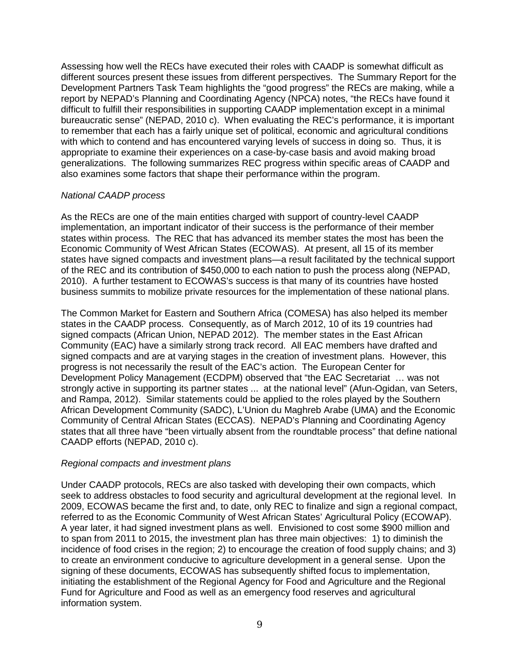Assessing how well the RECs have executed their roles with CAADP is somewhat difficult as different sources present these issues from different perspectives. The Summary Report for the Development Partners Task Team highlights the "good progress" the RECs are making, while a report by NEPAD's Planning and Coordinating Agency (NPCA) notes, "the RECs have found it difficult to fulfill their responsibilities in supporting CAADP implementation except in a minimal bureaucratic sense" (NEPAD, 2010 c). When evaluating the REC's performance, it is important to remember that each has a fairly unique set of political, economic and agricultural conditions with which to contend and has encountered varying levels of success in doing so. Thus, it is appropriate to examine their experiences on a case-by-case basis and avoid making broad generalizations. The following summarizes REC progress within specific areas of CAADP and also examines some factors that shape their performance within the program.

#### *National CAADP process*

As the RECs are one of the main entities charged with support of country-level CAADP implementation, an important indicator of their success is the performance of their member states within process. The REC that has advanced its member states the most has been the Economic Community of West African States (ECOWAS). At present, all 15 of its member states have signed compacts and investment plans—a result facilitated by the technical support of the REC and its contribution of \$450,000 to each nation to push the process along (NEPAD, 2010). A further testament to ECOWAS's success is that many of its countries have hosted business summits to mobilize private resources for the implementation of these national plans.

The Common Market for Eastern and Southern Africa (COMESA) has also helped its member states in the CAADP process. Consequently, as of March 2012, 10 of its 19 countries had signed compacts (African Union, NEPAD 2012). The member states in the East African Community (EAC) have a similarly strong track record. All EAC members have drafted and signed compacts and are at varying stages in the creation of investment plans. However, this progress is not necessarily the result of the EAC's action. The European Center for Development Policy Management (ECDPM) observed that "the EAC Secretariat … was not strongly active in supporting its partner states ... at the national level" (Afun-Ogidan, van Seters, and Rampa, 2012). Similar statements could be applied to the roles played by the Southern African Development Community (SADC), L'Union du Maghreb Arabe (UMA) and the Economic Community of Central African States (ECCAS). NEPAD's Planning and Coordinating Agency states that all three have "been virtually absent from the roundtable process" that define national CAADP efforts (NEPAD, 2010 c).

#### *Regional compacts and investment plans*

Under CAADP protocols, RECs are also tasked with developing their own compacts, which seek to address obstacles to food security and agricultural development at the regional level. In 2009, ECOWAS became the first and, to date, only REC to finalize and sign a regional compact, referred to as the Economic Community of West African States' Agricultural Policy (ECOWAP). A year later, it had signed investment plans as well. Envisioned to cost some \$900 million and to span from 2011 to 2015, the investment plan has three main objectives: 1) to diminish the incidence of food crises in the region; 2) to encourage the creation of food supply chains; and 3) to create an environment conducive to agriculture development in a general sense. Upon the signing of these documents, ECOWAS has subsequently shifted focus to implementation, initiating the establishment of the Regional Agency for Food and Agriculture and the Regional Fund for Agriculture and Food as well as an emergency food reserves and agricultural information system.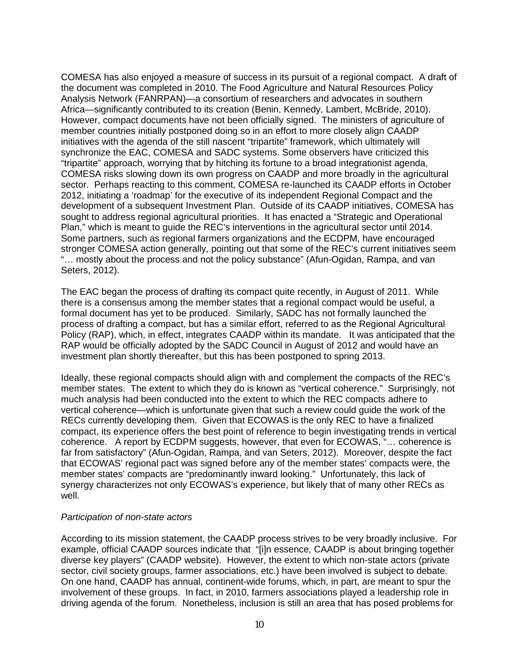COMESA has also enjoyed a measure of success in its pursuit of a regional compact. A draft of the document was completed in 2010. The Food Agriculture and Natural Resources Policy Analysis Network (FANRPAN)—a consortium of researchers and advocates in southern Africa—significantly contributed to its creation (Benin, Kennedy, Lambert, McBride, 2010). However, compact documents have not been officially signed. The ministers of agriculture of member countries initially postponed doing so in an effort to more closely align CAADP initiatives with the agenda of the still nascent "tripartite" framework, which ultimately will synchronize the EAC, COMESA and SADC systems. Some observers have criticized this "tripartite" approach, worrying that by hitching its fortune to a broad integrationist agenda, COMESA risks slowing down its own progress on CAADP and more broadly in the agricultural sector. Perhaps reacting to this comment, COMESA re-launched its CAADP efforts in October 2012, initiating a 'roadmap' for the executive of its independent Regional Compact and the development of a subsequent Investment Plan. Outside of its CAADP initiatives, COMESA has sought to address regional agricultural priorities. It has enacted a "Strategic and Operational Plan," which is meant to guide the REC's interventions in the agricultural sector until 2014. Some partners, such as regional farmers organizations and the ECDPM, have encouraged stronger COMESA action generally, pointing out that some of the REC's current initiatives seem "… mostly about the process and not the policy substance" (Afun-Ogidan, Rampa, and van Seters, 2012).

The EAC began the process of drafting its compact quite recently, in August of 2011. While there is a consensus among the member states that a regional compact would be useful, a formal document has yet to be produced. Similarly, SADC has not formally launched the process of drafting a compact, but has a similar effort, referred to as the Regional Agricultural Policy (RAP), which, in effect, integrates CAADP within its mandate. It was anticipated that the RAP would be officially adopted by the SADC Council in August of 2012 and would have an investment plan shortly thereafter, but this has been postponed to spring 2013.

Ideally, these regional compacts should align with and complement the compacts of the REC's member states. The extent to which they do is known as "vertical coherence." Surprisingly, not much analysis had been conducted into the extent to which the REC compacts adhere to vertical coherence—which is unfortunate given that such a review could guide the work of the RECs currently developing them. Given that ECOWAS is the only REC to have a finalized compact, its experience offers the best point of reference to begin investigating trends in vertical coherence. A report by ECDPM suggests, however, that even for ECOWAS, "… coherence is far from satisfactory" (Afun-Ogidan, Rampa, and van Seters, 2012). Moreover, despite the fact that ECOWAS' regional pact was signed before any of the member states' compacts were, the member states' compacts are "predominantly inward looking." Unfortunately, this lack of synergy characterizes not only ECOWAS's experience, but likely that of many other RECs as well.

#### *Participation of non-state actors*

According to its mission statement, the CAADP process strives to be very broadly inclusive. For example, official CAADP sources indicate that "[i]n essence, CAADP is about bringing together diverse key players" (CAADP website). However, the extent to which non-state actors (private sector, civil society groups, farmer associations, etc.) have been involved is subject to debate. On one hand, CAADP has annual, continent-wide forums, which, in part, are meant to spur the involvement of these groups. In fact, in 2010, farmers associations played a leadership role in driving agenda of the forum. Nonetheless, inclusion is still an area that has posed problems for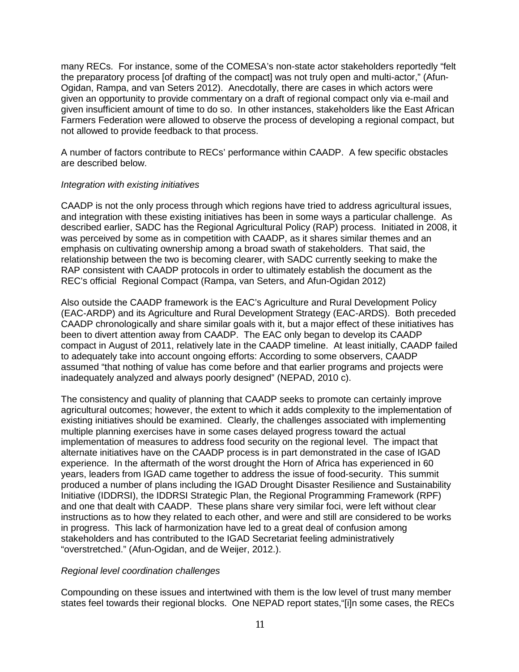many RECs. For instance, some of the COMESA's non-state actor stakeholders reportedly "felt the preparatory process [of drafting of the compact] was not truly open and multi-actor," (Afun-Ogidan, Rampa, and van Seters 2012). Anecdotally, there are cases in which actors were given an opportunity to provide commentary on a draft of regional compact only via e-mail and given insufficient amount of time to do so. In other instances, stakeholders like the East African Farmers Federation were allowed to observe the process of developing a regional compact, but not allowed to provide feedback to that process.

A number of factors contribute to RECs' performance within CAADP. A few specific obstacles are described below.

#### *Integration with existing initiatives*

CAADP is not the only process through which regions have tried to address agricultural issues, and integration with these existing initiatives has been in some ways a particular challenge. As described earlier, SADC has the Regional Agricultural Policy (RAP) process. Initiated in 2008, it was perceived by some as in competition with CAADP, as it shares similar themes and an emphasis on cultivating ownership among a broad swath of stakeholders. That said, the relationship between the two is becoming clearer, with SADC currently seeking to make the RAP consistent with CAADP protocols in order to ultimately establish the document as the REC's official Regional Compact (Rampa, van Seters, and Afun-Ogidan 2012)

Also outside the CAADP framework is the EAC's Agriculture and Rural Development Policy (EAC-ARDP) and its Agriculture and Rural Development Strategy (EAC-ARDS). Both preceded CAADP chronologically and share similar goals with it, but a major effect of these initiatives has been to divert attention away from CAADP. The EAC only began to develop its CAADP compact in August of 2011, relatively late in the CAADP timeline. At least initially, CAADP failed to adequately take into account ongoing efforts: According to some observers, CAADP assumed "that nothing of value has come before and that earlier programs and projects were inadequately analyzed and always poorly designed" (NEPAD, 2010 c).

The consistency and quality of planning that CAADP seeks to promote can certainly improve agricultural outcomes; however, the extent to which it adds complexity to the implementation of existing initiatives should be examined. Clearly, the challenges associated with implementing multiple planning exercises have in some cases delayed progress toward the actual implementation of measures to address food security on the regional level. The impact that alternate initiatives have on the CAADP process is in part demonstrated in the case of IGAD experience. In the aftermath of the worst drought the Horn of Africa has experienced in 60 years, leaders from IGAD came together to address the issue of food-security. This summit produced a number of plans including the IGAD Drought Disaster Resilience and Sustainability Initiative (IDDRSI), the IDDRSI Strategic Plan, the Regional Programming Framework (RPF) and one that dealt with CAADP. These plans share very similar foci, were left without clear instructions as to how they related to each other, and were and still are considered to be works in progress. This lack of harmonization have led to a great deal of confusion among stakeholders and has contributed to the IGAD Secretariat feeling administratively "overstretched." (Afun-Ogidan, and de Weijer, 2012.).

#### *Regional level coordination challenges*

Compounding on these issues and intertwined with them is the low level of trust many member states feel towards their regional blocks. One NEPAD report states,"[i]n some cases, the RECs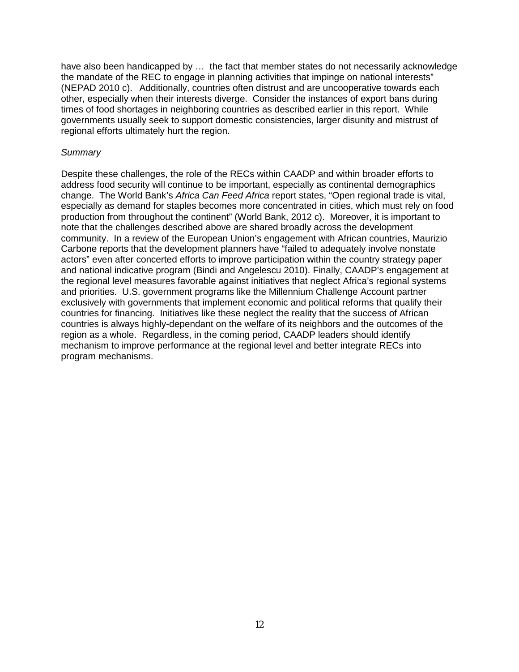have also been handicapped by … the fact that member states do not necessarily acknowledge the mandate of the REC to engage in planning activities that impinge on national interests" (NEPAD 2010 c). Additionally, countries often distrust and are uncooperative towards each other, especially when their interests diverge. Consider the instances of export bans during times of food shortages in neighboring countries as described earlier in this report. While governments usually seek to support domestic consistencies, larger disunity and mistrust of regional efforts ultimately hurt the region.

## *Summary*

Despite these challenges, the role of the RECs within CAADP and within broader efforts to address food security will continue to be important, especially as continental demographics change. The World Bank's *Africa Can Feed Africa* report states, "Open regional trade is vital, especially as demand for staples becomes more concentrated in cities, which must rely on food production from throughout the continent" (World Bank, 2012 c). Moreover, it is important to note that the challenges described above are shared broadly across the development community. In a review of the European Union's engagement with African countries, Maurizio Carbone reports that the development planners have "failed to adequately involve nonstate actors" even after concerted efforts to improve participation within the country strategy paper and national indicative program (Bindi and Angelescu 2010). Finally, CAADP's engagement at the regional level measures favorable against initiatives that neglect Africa's regional systems and priorities. U.S. government programs like the Millennium Challenge Account partner exclusively with governments that implement economic and political reforms that qualify their countries for financing. Initiatives like these neglect the reality that the success of African countries is always highly-dependant on the welfare of its neighbors and the outcomes of the region as a whole. Regardless, in the coming period, CAADP leaders should identify mechanism to improve performance at the regional level and better integrate RECs into program mechanisms.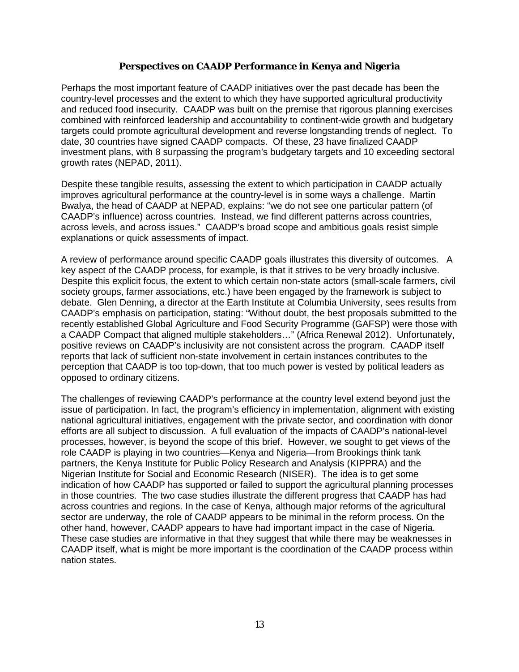# **Perspectives on CAADP Performance in Kenya and Nigeria**

Perhaps the most important feature of CAADP initiatives over the past decade has been the country-level processes and the extent to which they have supported agricultural productivity and reduced food insecurity. CAADP was built on the premise that rigorous planning exercises combined with reinforced leadership and accountability to continent-wide growth and budgetary targets could promote agricultural development and reverse longstanding trends of neglect. To date, 30 countries have signed CAADP compacts. Of these, 23 have finalized CAADP investment plans, with 8 surpassing the program's budgetary targets and 10 exceeding sectoral growth rates (NEPAD, 2011).

Despite these tangible results, assessing the extent to which participation in CAADP actually improves agricultural performance at the country-level is in some ways a challenge. Martin Bwalya, the head of CAADP at NEPAD, explains: "we do not see one particular pattern (of CAADP's influence) across countries. Instead, we find different patterns across countries, across levels, and across issues." CAADP's broad scope and ambitious goals resist simple explanations or quick assessments of impact.

A review of performance around specific CAADP goals illustrates this diversity of outcomes. A key aspect of the CAADP process, for example, is that it strives to be very broadly inclusive. Despite this explicit focus, the extent to which certain non-state actors (small-scale farmers, civil society groups, farmer associations, etc.) have been engaged by the framework is subject to debate. Glen Denning, a director at the Earth Institute at Columbia University, sees results from CAADP's emphasis on participation, stating: "Without doubt, the best proposals submitted to the recently established Global Agriculture and Food Security Programme (GAFSP) were those with a CAADP Compact that aligned multiple stakeholders…" (Africa Renewal 2012). Unfortunately, positive reviews on CAADP's inclusivity are not consistent across the program. CAADP itself reports that lack of sufficient non-state involvement in certain instances contributes to the perception that CAADP is too top-down, that too much power is vested by political leaders as opposed to ordinary citizens.

The challenges of reviewing CAADP's performance at the country level extend beyond just the issue of participation. In fact, the program's efficiency in implementation, alignment with existing national agricultural initiatives, engagement with the private sector, and coordination with donor efforts are all subject to discussion. A full evaluation of the impacts of CAADP's national-level processes, however, is beyond the scope of this brief. However, we sought to get views of the role CAADP is playing in two countries—Kenya and Nigeria—from Brookings think tank partners, the Kenya Institute for Public Policy Research and Analysis (KIPPRA) and the Nigerian Institute for Social and Economic Research (NISER). The idea is to get some indication of how CAADP has supported or failed to support the agricultural planning processes in those countries. The two case studies illustrate the different progress that CAADP has had across countries and regions. In the case of Kenya, although major reforms of the agricultural sector are underway, the role of CAADP appears to be minimal in the reform process. On the other hand, however, CAADP appears to have had important impact in the case of Nigeria. These case studies are informative in that they suggest that while there may be weaknesses in CAADP itself, what is might be more important is the coordination of the CAADP process within nation states.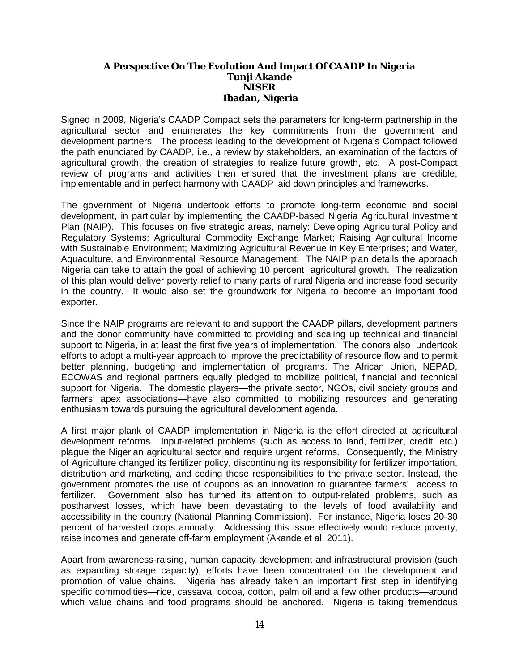## **A Perspective On The Evolution And Impact Of CAADP In Nigeria Tunji Akande NISER Ibadan, Nigeria**

Signed in 2009, Nigeria's CAADP Compact sets the parameters for long-term partnership in the agricultural sector and enumerates the key commitments from the government and development partners. The process leading to the development of Nigeria's Compact followed the path enunciated by CAADP, i.e., a review by stakeholders, an examination of the factors of agricultural growth, the creation of strategies to realize future growth, etc. A post-Compact review of programs and activities then ensured that the investment plans are credible, implementable and in perfect harmony with CAADP laid down principles and frameworks.

The government of Nigeria undertook efforts to promote long-term economic and social development, in particular by implementing the CAADP-based Nigeria Agricultural Investment Plan (NAIP). This focuses on five strategic areas, namely: Developing Agricultural Policy and Regulatory Systems; Agricultural Commodity Exchange Market; Raising Agricultural Income with Sustainable Environment; Maximizing Agricultural Revenue in Key Enterprises; and Water, Aquaculture, and Environmental Resource Management. The NAIP plan details the approach Nigeria can take to attain the goal of achieving 10 percent agricultural growth. The realization of this plan would deliver poverty relief to many parts of rural Nigeria and increase food security in the country. It would also set the groundwork for Nigeria to become an important food exporter.

Since the NAIP programs are relevant to and support the CAADP pillars, development partners and the donor community have committed to providing and scaling up technical and financial support to Nigeria, in at least the first five years of implementation. The donors also undertook efforts to adopt a multi-year approach to improve the predictability of resource flow and to permit better planning, budgeting and implementation of programs. The African Union, NEPAD, ECOWAS and regional partners equally pledged to mobilize political, financial and technical support for Nigeria. The domestic players—the private sector, NGOs, civil society groups and farmers' apex associations—have also committed to mobilizing resources and generating enthusiasm towards pursuing the agricultural development agenda.

A first major plank of CAADP implementation in Nigeria is the effort directed at agricultural development reforms. Input-related problems (such as access to land, fertilizer, credit, etc.) plague the Nigerian agricultural sector and require urgent reforms. Consequently, the Ministry of Agriculture changed its fertilizer policy, discontinuing its responsibility for fertilizer importation, distribution and marketing, and ceding those responsibilities to the private sector. Instead, the government promotes the use of coupons as an innovation to guarantee farmers' access to fertilizer. Government also has turned its attention to output-related problems, such as postharvest losses, which have been devastating to the levels of food availability and accessibility in the country (National Planning Commission). For instance, Nigeria loses 20-30 percent of harvested crops annually. Addressing this issue effectively would reduce poverty, raise incomes and generate off-farm employment (Akande et al. 2011).

Apart from awareness-raising, human capacity development and infrastructural provision (such as expanding storage capacity), efforts have been concentrated on the development and promotion of value chains. Nigeria has already taken an important first step in identifying specific commodities—rice, cassava, cocoa, cotton, palm oil and a few other products—around which value chains and food programs should be anchored. Nigeria is taking tremendous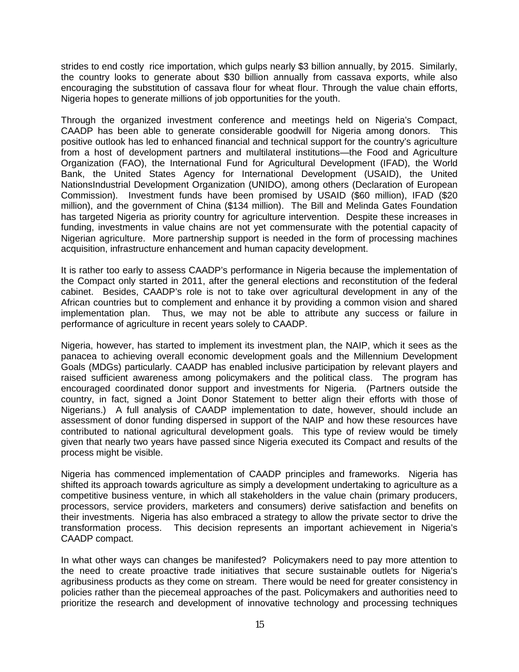strides to end costly rice importation, which gulps nearly \$3 billion annually, by 2015. Similarly, the country looks to generate about \$30 billion annually from cassava exports, while also encouraging the substitution of cassava flour for wheat flour. Through the value chain efforts, Nigeria hopes to generate millions of job opportunities for the youth.

Through the organized investment conference and meetings held on Nigeria's Compact, CAADP has been able to generate considerable goodwill for Nigeria among donors. This positive outlook has led to enhanced financial and technical support for the country's agriculture from a host of development partners and multilateral institutions—the Food and Agriculture Organization (FAO), the International Fund for Agricultural Development (IFAD), the World Bank, the United States Agency for International Development (USAID), the United NationsIndustrial Development Organization (UNIDO), among others (Declaration of European Commission). Investment funds have been promised by USAID (\$60 million), IFAD (\$20 million), and the government of China (\$134 million). The Bill and Melinda Gates Foundation has targeted Nigeria as priority country for agriculture intervention. Despite these increases in funding, investments in value chains are not yet commensurate with the potential capacity of Nigerian agriculture. More partnership support is needed in the form of processing machines acquisition, infrastructure enhancement and human capacity development.

It is rather too early to assess CAADP's performance in Nigeria because the implementation of the Compact only started in 2011, after the general elections and reconstitution of the federal cabinet. Besides, CAADP's role is not to take over agricultural development in any of the African countries but to complement and enhance it by providing a common vision and shared implementation plan. Thus, we may not be able to attribute any success or failure in performance of agriculture in recent years solely to CAADP.

Nigeria, however, has started to implement its investment plan, the NAIP, which it sees as the panacea to achieving overall economic development goals and the Millennium Development Goals (MDGs) particularly. CAADP has enabled inclusive participation by relevant players and raised sufficient awareness among policymakers and the political class. The program has encouraged coordinated donor support and investments for Nigeria. (Partners outside the country, in fact, signed a Joint Donor Statement to better align their efforts with those of Nigerians.) A full analysis of CAADP implementation to date, however, should include an assessment of donor funding dispersed in support of the NAIP and how these resources have contributed to national agricultural development goals. This type of review would be timely given that nearly two years have passed since Nigeria executed its Compact and results of the process might be visible.

Nigeria has commenced implementation of CAADP principles and frameworks. Nigeria has shifted its approach towards agriculture as simply a development undertaking to agriculture as a competitive business venture, in which all stakeholders in the value chain (primary producers, processors, service providers, marketers and consumers) derive satisfaction and benefits on their investments. Nigeria has also embraced a strategy to allow the private sector to drive the transformation process. This decision represents an important achievement in Nigeria's CAADP compact.

In what other ways can changes be manifested? Policymakers need to pay more attention to the need to create proactive trade initiatives that secure sustainable outlets for Nigeria's agribusiness products as they come on stream. There would be need for greater consistency in policies rather than the piecemeal approaches of the past. Policymakers and authorities need to prioritize the research and development of innovative technology and processing techniques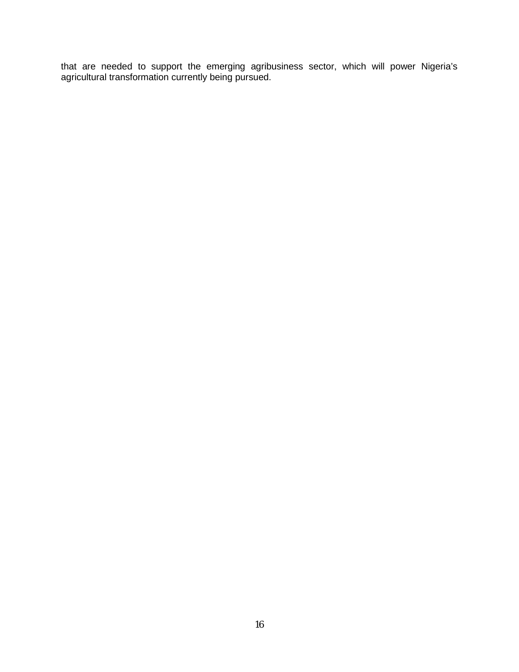that are needed to support the emerging agribusiness sector, which will power Nigeria's agricultural transformation currently being pursued.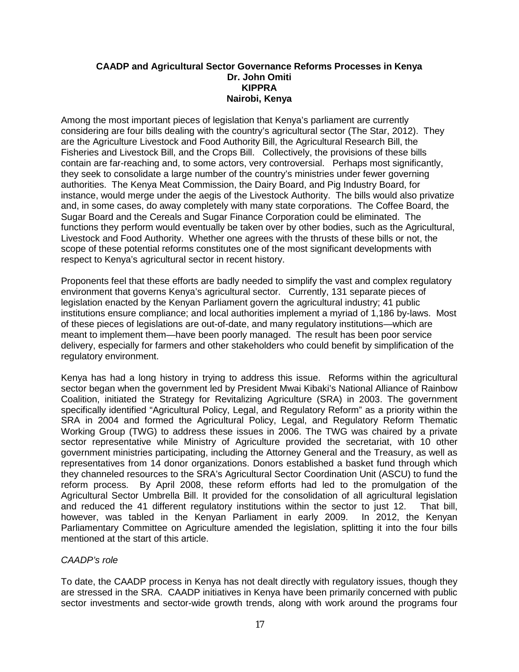## **CAADP and Agricultural Sector Governance Reforms Processes in Kenya Dr. John Omiti KIPPRA Nairobi, Kenya**

Among the most important pieces of legislation that Kenya's parliament are currently considering are four bills dealing with the country's agricultural sector (The Star, 2012). They are the Agriculture Livestock and Food Authority Bill, the Agricultural Research Bill, the Fisheries and Livestock Bill, and the Crops Bill. Collectively, the provisions of these bills contain are far-reaching and, to some actors, very controversial. Perhaps most significantly, they seek to consolidate a large number of the country's ministries under fewer governing authorities. The Kenya Meat Commission, the Dairy Board, and Pig Industry Board, for instance, would merge under the aegis of the Livestock Authority. The bills would also privatize and, in some cases, do away completely with many state corporations. The Coffee Board, the Sugar Board and the Cereals and Sugar Finance Corporation could be eliminated. The functions they perform would eventually be taken over by other bodies, such as the Agricultural, Livestock and Food Authority. Whether one agrees with the thrusts of these bills or not, the scope of these potential reforms constitutes one of the most significant developments with respect to Kenya's agricultural sector in recent history.

Proponents feel that these efforts are badly needed to simplify the vast and complex regulatory environment that governs Kenya's agricultural sector. Currently, 131 separate pieces of legislation enacted by the Kenyan Parliament govern the agricultural industry; 41 public institutions ensure compliance; and local authorities implement a myriad of 1,186 by-laws. Most of these pieces of legislations are out-of-date, and many regulatory institutions—which are meant to implement them—have been poorly managed. The result has been poor service delivery, especially for farmers and other stakeholders who could benefit by simplification of the regulatory environment.

Kenya has had a long history in trying to address this issue. Reforms within the agricultural sector began when the government led by President Mwai Kibaki's National Alliance of Rainbow Coalition, initiated the Strategy for Revitalizing Agriculture (SRA) in 2003. The government specifically identified "Agricultural Policy, Legal, and Regulatory Reform" as a priority within the SRA in 2004 and formed the Agricultural Policy, Legal, and Regulatory Reform Thematic Working Group (TWG) to address these issues in 2006. The TWG was chaired by a private sector representative while Ministry of Agriculture provided the secretariat, with 10 other government ministries participating, including the Attorney General and the Treasury, as well as representatives from 14 donor organizations. Donors established a basket fund through which they channeled resources to the SRA's Agricultural Sector Coordination Unit (ASCU) to fund the reform process. By April 2008, these reform efforts had led to the promulgation of the Agricultural Sector Umbrella Bill. It provided for the consolidation of all agricultural legislation and reduced the 41 different regulatory institutions within the sector to just 12. That bill, however, was tabled in the Kenyan Parliament in early 2009. In 2012, the Kenyan Parliamentary Committee on Agriculture amended the legislation, splitting it into the four bills mentioned at the start of this article.

# *CAADP's role*

To date, the CAADP process in Kenya has not dealt directly with regulatory issues, though they are stressed in the SRA. CAADP initiatives in Kenya have been primarily concerned with public sector investments and sector-wide growth trends, along with work around the programs four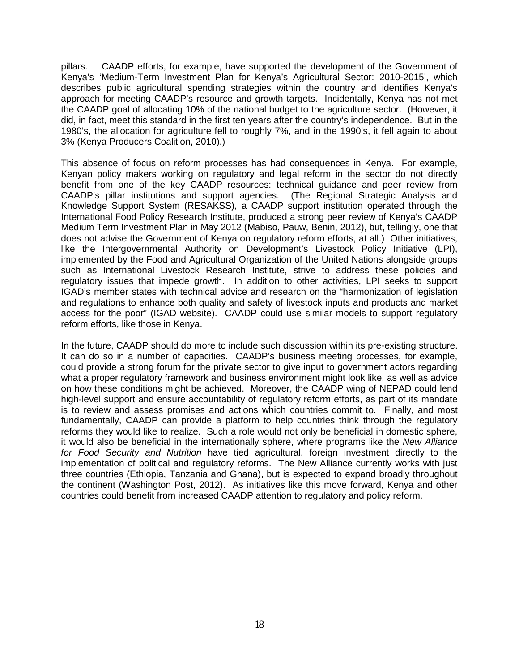pillars. CAADP efforts, for example, have supported the development of the Government of Kenya's 'Medium-Term Investment Plan for Kenya's Agricultural Sector: 2010-2015', which describes public agricultural spending strategies within the country and identifies Kenya's approach for meeting CAADP's resource and growth targets. Incidentally, Kenya has not met the CAADP goal of allocating 10% of the national budget to the agriculture sector. (However, it did, in fact, meet this standard in the first ten years after the country's independence. But in the 1980's, the allocation for agriculture fell to roughly 7%, and in the 1990's, it fell again to about 3% (Kenya Producers Coalition, 2010).)

This absence of focus on reform processes has had consequences in Kenya. For example, Kenyan policy makers working on regulatory and legal reform in the sector do not directly benefit from one of the key CAADP resources: technical guidance and peer review from CAADP's pillar institutions and support agencies. (The Regional Strategic Analysis and Knowledge Support System (RESAKSS), a CAADP support institution operated through the International Food Policy Research Institute, produced a strong peer review of Kenya's CAADP Medium Term Investment Plan in May 2012 (Mabiso, Pauw, Benin, 2012), but, tellingly, one that does not advise the Government of Kenya on regulatory reform efforts, at all.) Other initiatives, like the Intergovernmental Authority on Development's Livestock Policy Initiative (LPI), implemented by the Food and Agricultural Organization of the United Nations alongside groups such as International Livestock Research Institute, strive to address these policies and regulatory issues that impede growth. In addition to other activities, LPI seeks to support IGAD's member states with technical advice and research on the "harmonization of legislation and regulations to enhance both quality and safety of livestock inputs and products and market access for the poor" (IGAD website). CAADP could use similar models to support regulatory reform efforts, like those in Kenya.

In the future, CAADP should do more to include such discussion within its pre-existing structure. It can do so in a number of capacities. CAADP's business meeting processes, for example, could provide a strong forum for the private sector to give input to government actors regarding what a proper regulatory framework and business environment might look like, as well as advice on how these conditions might be achieved. Moreover, the CAADP wing of NEPAD could lend high-level support and ensure accountability of regulatory reform efforts, as part of its mandate is to review and assess promises and actions which countries commit to. Finally, and most fundamentally, CAADP can provide a platform to help countries think through the regulatory reforms they would like to realize. Such a role would not only be beneficial in domestic sphere, it would also be beneficial in the internationally sphere, where programs like the *New Alliance for Food Security and Nutrition* have tied agricultural, foreign investment directly to the implementation of political and regulatory reforms. The New Alliance currently works with just three countries (Ethiopia, Tanzania and Ghana), but is expected to expand broadly throughout the continent (Washington Post, 2012). As initiatives like this move forward, Kenya and other countries could benefit from increased CAADP attention to regulatory and policy reform.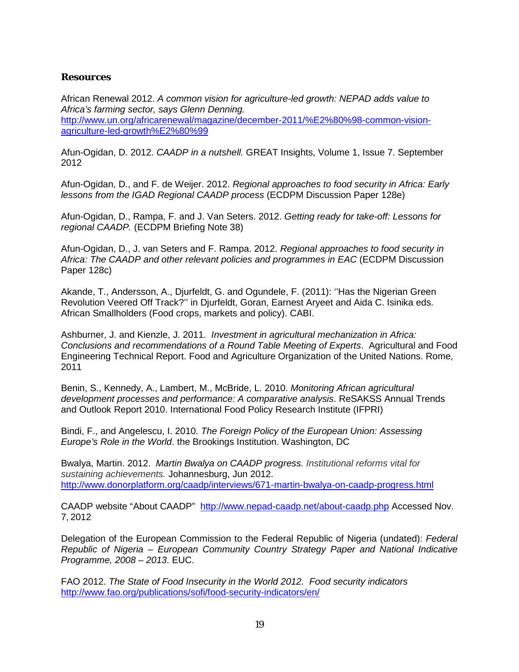# **Resources**

African Renewal 2012. *A common vision for agriculture-led growth: NEPAD adds value to Africa's farming sector, says Glenn Denning.*  [http://www.un.org/africarenewal/magazine/december-2011/%E2%80%98-common-vision](http://www.un.org/africarenewal/magazine/december-2011/%E2%80%98-common-vision-agriculture-led-growth%E2%80%99)[agriculture-led-growth%E2%80%99](http://www.un.org/africarenewal/magazine/december-2011/%E2%80%98-common-vision-agriculture-led-growth%E2%80%99)

Afun-Ogidan, D. 2012. *CAADP in a nutshell.* GREAT Insights, Volume 1, Issue 7. September 2012

Afun-Ogidan, D., and F. de Weijer. 2012. *Regional approaches to food security in Africa: Early lessons from the IGAD Regional CAADP process* (ECDPM Discussion Paper 128e)

Afun-Ogidan, D., Rampa, F. and J. Van Seters. 2012. *Getting ready for take-off: Lessons for regional CAADP.* (ECDPM Briefing Note 38)

Afun-Ogidan, D., J. van Seters and F. Rampa. 2012. *Regional approaches to food security in Africa: The CAADP and other relevant policies and programmes in EAC* (ECDPM Discussion Paper 128c)

Akande, T., Andersson, A., Djurfeldt, G. and Ogundele, F. (2011): ''Has the Nigerian Green Revolution Veered Off Track?'' in Djurfeldt, Goran, Earnest Aryeet and Aida C. Isinika eds. African Smallholders (Food crops, markets and policy). CABI.

Ashburner, J. and Kienzle, J. 2011. *Investment in agricultural mechanization in Africa: Conclusions and recommendations of a Round Table Meeting of Experts*. Agricultural and Food Engineering Technical Report. Food and Agriculture Organization of the United Nations. Rome, 2011

Benin, S., Kennedy, A., Lambert, M., McBride, L. 2010. *Monitoring African agricultural development processes and performance: A comparative analysis*. ReSAKSS Annual Trends and Outlook Report 2010. International Food Policy Research Institute (IFPRI)

Bindi, F., and Angelescu, I. 2010. *The Foreign Policy of the European Union: Assessing Europe's Role in the World*. the Brookings Institution. Washington, DC

Bwalya, Martin. 2012. *Martin Bwalya on CAADP progress. Institutional reforms vital for sustaining achievements.* Johannesburg, Jun 2012. <http://www.donorplatform.org/caadp/interviews/671-martin-bwalya-on-caadp-progress.html>

CAADP website "About CAADP" <http://www.nepad-caadp.net/about-caadp.php> Accessed Nov. 7, 2012

Delegation of the European Commission to the Federal Republic of Nigeria (undated): *Federal Republic of Nigeria – European Community Country Strategy Paper and National Indicative Programme, 2008 – 2013*. EUC.

FAO 2012. *The State of Food Insecurity in the World 2012. Food security indicators* <http://www.fao.org/publications/sofi/food-security-indicators/en/>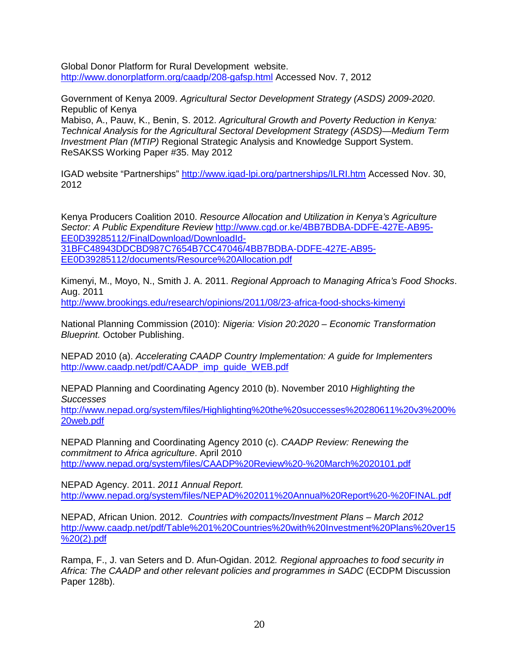Global Donor Platform for Rural Development website. <http://www.donorplatform.org/caadp/208-gafsp.html> Accessed Nov. 7, 2012

Government of Kenya 2009. *Agricultural Sector Development Strategy (ASDS) 2009-2020*. Republic of Kenya

Mabiso, A., Pauw, K., Benin, S. 2012. *Agricultural Growth and Poverty Reduction in Kenya: Technical Analysis for the Agricultural Sectoral Development Strategy (ASDS)—Medium Term Investment Plan (MTIP)* Regional Strategic Analysis and Knowledge Support System. ReSAKSS Working Paper #35. May 2012

IGAD website "Partnerships"<http://www.igad-lpi.org/partnerships/ILRI.htm> Accessed Nov. 30, 2012

Kenya Producers Coalition 2010. *Resource Allocation and Utilization in Kenya's Agriculture Sector: A Public Expenditure Review* [http://www.cgd.or.ke/4BB7BDBA-DDFE-427E-AB95-](http://www.cgd.or.ke/4BB7BDBA-DDFE-427E-AB95-EE0D39285112/FinalDownload/DownloadId-31BFC48943DDCBD987C7654B7CC47046/4BB7BDBA-DDFE-427E-AB95-EE0D39285112/documents/Resource%20Allocation.pdf) [EE0D39285112/FinalDownload/DownloadId-](http://www.cgd.or.ke/4BB7BDBA-DDFE-427E-AB95-EE0D39285112/FinalDownload/DownloadId-31BFC48943DDCBD987C7654B7CC47046/4BB7BDBA-DDFE-427E-AB95-EE0D39285112/documents/Resource%20Allocation.pdf)[31BFC48943DDCBD987C7654B7CC47046/4BB7BDBA-DDFE-427E-AB95-](http://www.cgd.or.ke/4BB7BDBA-DDFE-427E-AB95-EE0D39285112/FinalDownload/DownloadId-31BFC48943DDCBD987C7654B7CC47046/4BB7BDBA-DDFE-427E-AB95-EE0D39285112/documents/Resource%20Allocation.pdf) [EE0D39285112/documents/Resource%20Allocation.pdf](http://www.cgd.or.ke/4BB7BDBA-DDFE-427E-AB95-EE0D39285112/FinalDownload/DownloadId-31BFC48943DDCBD987C7654B7CC47046/4BB7BDBA-DDFE-427E-AB95-EE0D39285112/documents/Resource%20Allocation.pdf)

Kimenyi, M., Moyo, N., Smith J. A. 2011. *Regional Approach to Managing Africa's Food Shocks*. Aug. 2011

<http://www.brookings.edu/research/opinions/2011/08/23-africa-food-shocks-kimenyi>

National Planning Commission (2010): *Nigeria: Vision 20:2020 – Economic Transformation Blueprint.* October Publishing.

NEPAD 2010 (a). *Accelerating CAADP Country Implementation: A guide for Implementers*  [http://www.caadp.net/pdf/CAADP\\_imp\\_guide\\_WEB.pdf](http://www.caadp.net/pdf/CAADP_imp_guide_WEB.pdf)

NEPAD Planning and Coordinating Agency 2010 (b). November 2010 *Highlighting the Successes*

[http://www.nepad.org/system/files/Highlighting%20the%20successes%20280611%20v3%200%](http://www.nepad.org/system/files/Highlighting%20the%20successes%20280611%20v3%200%20web.pdf) [20web.pdf](http://www.nepad.org/system/files/Highlighting%20the%20successes%20280611%20v3%200%20web.pdf) 

NEPAD Planning and Coordinating Agency 2010 (c). *CAADP Review: Renewing the commitment to Africa agriculture*. April 2010 <http://www.nepad.org/system/files/CAADP%20Review%20-%20March%2020101.pdf>

NEPAD Agency. 2011. *2011 Annual Report.* <http://www.nepad.org/system/files/NEPAD%202011%20Annual%20Report%20-%20FINAL.pdf>

NEPAD, African Union. 2012. *Countries with compacts/Investment Plans – March 2012* [http://www.caadp.net/pdf/Table%201%20Countries%20with%20Investment%20Plans%20ver15](http://www.caadp.net/pdf/Table%201%20Countries%20with%20Investment%20Plans%20ver15%20(2).pdf) [%20\(2\).pdf](http://www.caadp.net/pdf/Table%201%20Countries%20with%20Investment%20Plans%20ver15%20(2).pdf)

Rampa, F., J. van Seters and D. Afun-Ogidan. 2012*. Regional approaches to food security in Africa: The CAADP and other relevant policies and programmes in SADC* (ECDPM Discussion Paper 128b).